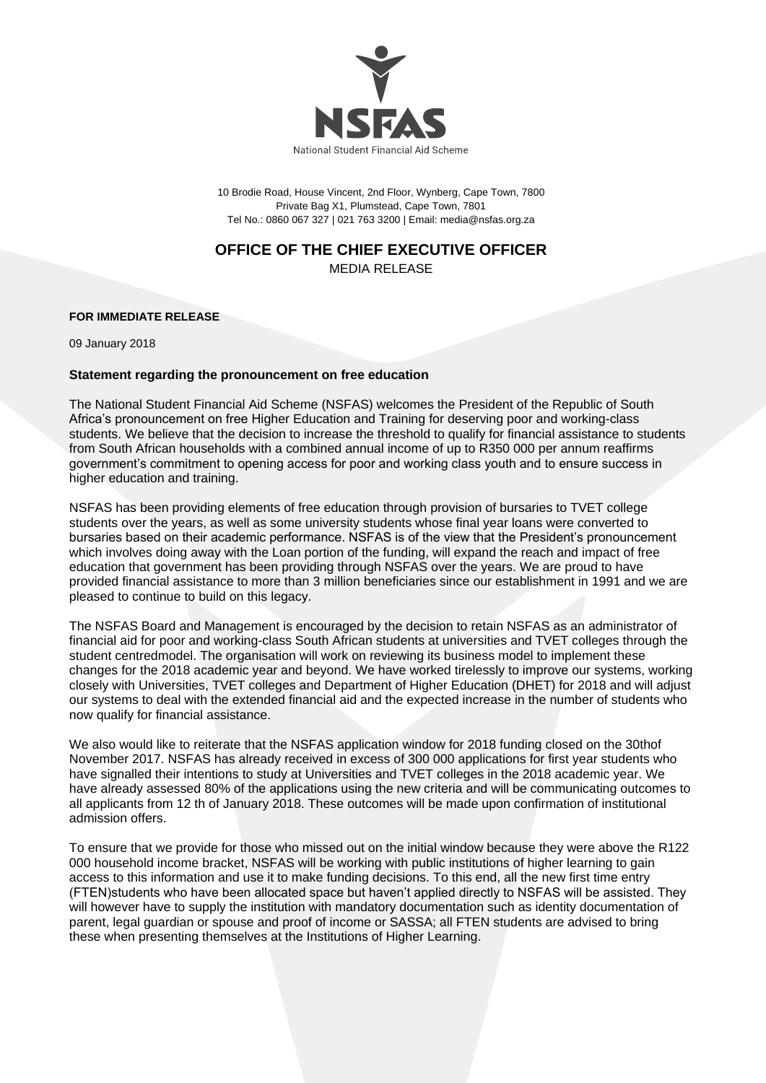

10 Brodie Road, House Vincent, 2nd Floor, Wynberg, Cape Town, 7800 Private Bag X1, Plumstead, Cape Town, 7801 Tel No.: 0860 067 327 | 021 763 3200 | Email: media@nsfas.org.za

## **OFFICE OF THE CHIEF EXECUTIVE OFFICER**

MEDIA RELEASE

## **FOR IMMEDIATE RELEASE**

09 January 2018

## **Statement regarding the pronouncement on free education**

The National Student Financial Aid Scheme (NSFAS) welcomes the President of the Republic of South Africa's pronouncement on free Higher Education and Training for deserving poor and working-class students. We believe that the decision to increase the threshold to qualify for financial assistance to students from South African households with a combined annual income of up to R350 000 per annum reaffirms government's commitment to opening access for poor and working class youth and to ensure success in higher education and training.

NSFAS has been providing elements of free education through provision of bursaries to TVET college students over the years, as well as some university students whose final year loans were converted to bursaries based on their academic performance. NSFAS is of the view that the President's pronouncement which involves doing away with the Loan portion of the funding, will expand the reach and impact of free education that government has been providing through NSFAS over the years. We are proud to have provided financial assistance to more than 3 million beneficiaries since our establishment in 1991 and we are pleased to continue to build on this legacy.

The NSFAS Board and Management is encouraged by the decision to retain NSFAS as an administrator of financial aid for poor and working-class South African students at universities and TVET colleges through the student centredmodel. The organisation will work on reviewing its business model to implement these changes for the 2018 academic year and beyond. We have worked tirelessly to improve our systems, working closely with Universities, TVET colleges and Department of Higher Education (DHET) for 2018 and will adjust our systems to deal with the extended financial aid and the expected increase in the number of students who now qualify for financial assistance.

We also would like to reiterate that the NSFAS application window for 2018 funding closed on the 30thof November 2017. NSFAS has already received in excess of 300 000 applications for first year students who have signalled their intentions to study at Universities and TVET colleges in the 2018 academic year. We have already assessed 80% of the applications using the new criteria and will be communicating outcomes to all applicants from 12 th of January 2018. These outcomes will be made upon confirmation of institutional admission offers.

To ensure that we provide for those who missed out on the initial window because they were above the R122 000 household income bracket, NSFAS will be working with public institutions of higher learning to gain access to this information and use it to make funding decisions. To this end, all the new first time entry (FTEN)students who have been allocated space but haven't applied directly to NSFAS will be assisted. They will however have to supply the institution with mandatory documentation such as identity documentation of parent, legal guardian or spouse and proof of income or SASSA; all FTEN students are advised to bring these when presenting themselves at the Institutions of Higher Learning.